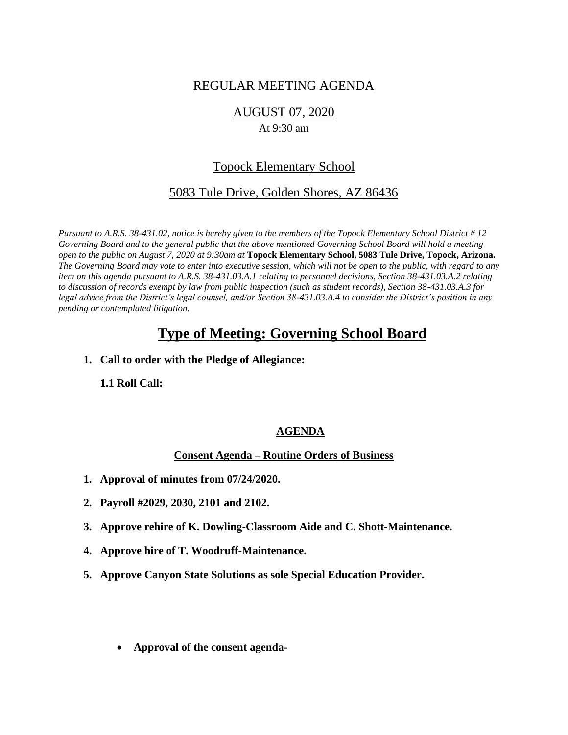# REGULAR MEETING AGENDA

## AUGUST 07, 2020

#### At 9:30 am

# Topock Elementary School

## 5083 Tule Drive, Golden Shores, AZ 86436

*Pursuant to A.R.S. 38-431.02, notice is hereby given to the members of the Topock Elementary School District # 12 Governing Board and to the general public that the above mentioned Governing School Board will hold a meeting open to the public on August 7, 2020 at 9:30am at* **Topock Elementary School, 5083 Tule Drive, Topock, Arizona.**  *The Governing Board may vote to enter into executive session, which will not be open to the public, with regard to any item on this agenda pursuant to A.R.S. 38-431.03.A.1 relating to personnel decisions, Section 38-431.03.A.2 relating to discussion of records exempt by law from public inspection (such as student records), Section 38-431.03.A.3 for legal advice from the District's legal counsel, and/or Section 38-431.03.A.4 to consider the District's position in any pending or contemplated litigation.*

# **Type of Meeting: Governing School Board**

**1. Call to order with the Pledge of Allegiance:**

**1.1 Roll Call:** 

## **AGENDA**

## **Consent Agenda – Routine Orders of Business**

- **1. Approval of minutes from 07/24/2020.**
- **2. Payroll #2029, 2030, 2101 and 2102.**
- **3. Approve rehire of K. Dowling-Classroom Aide and C. Shott-Maintenance.**
- **4. Approve hire of T. Woodruff-Maintenance.**
- **5. Approve Canyon State Solutions as sole Special Education Provider.**
	- **Approval of the consent agenda-**